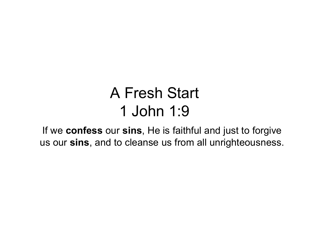## A Fresh Start 1 John 1:9

If we confess our sins, He is faithful and just to forgive us our sins, and to cleanse us from all unrighteousness.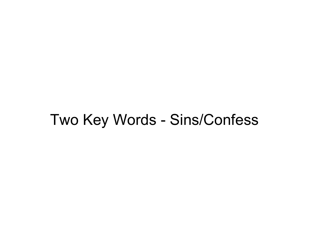### Two Key Words - Sins/Confess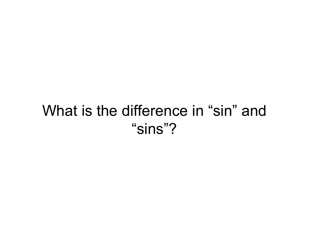### What is the difference in "sin" and "sins"?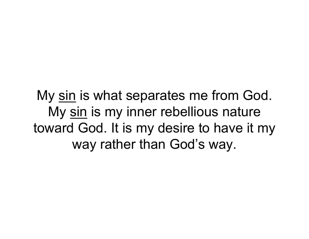My <u>sin</u> is what separates me from God.<br>My <u>sin</u> is my inner rebellious nature y <u>sin</u> is what separates me from God.<br>My <u>sin</u> is my inner rebellious nature<br>ward God. It is my desire to have it my toward God. It is my desire to have it my way rather than God's way.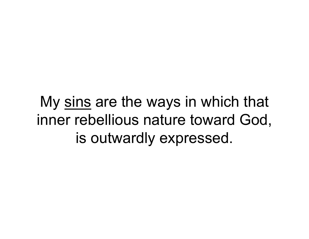My <u>sins</u> are the ways in which that<br>nner rebellious nature toward God, inner rebellious nature toward God, is outwardly expressed.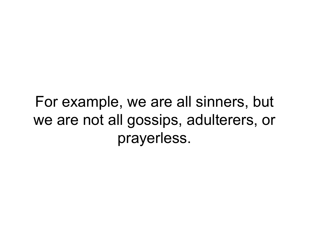For example, we are all sinners, but we are not all gossips, adulterers, or prayerless.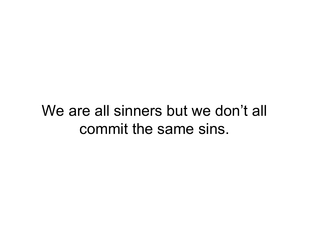## We are all sinners but we don't all commit the same sins.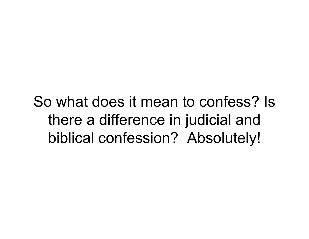So what does it mean to confess? Is there a difference in judicial and biblical confession? Absolutely!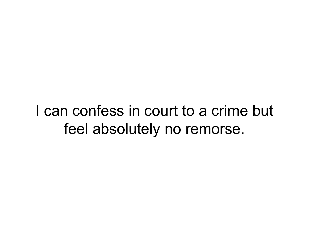I can confess in court to a crime but feel absolutely no remorse.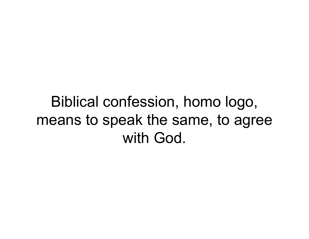Biblical confession, homo logo, means to speak the same, to agree with God.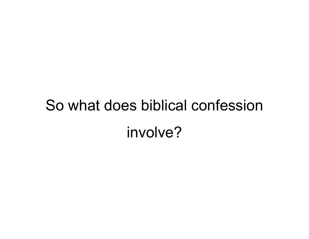# So what does biblical confession involve?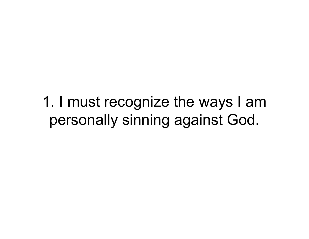1. I must recognize the ways I am personally sinning against God.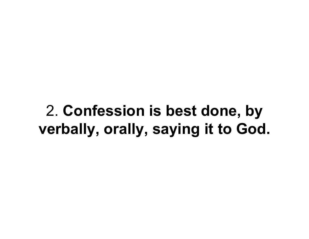2. Confession is best done, by verbally, orally, saying it to God.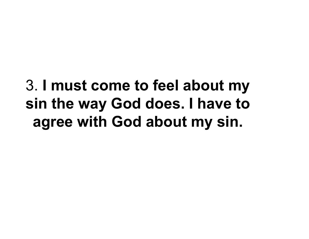## 3. I must come to feel about my sin the way God does. I have to agree with God about my sin.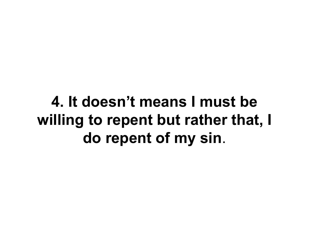4. It doesn't means I must be willing to repent but rather that, I do repent of my sin.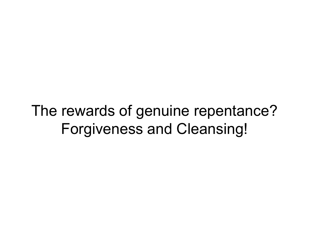## The rewards of genuine repentance? Forgiveness and Cleansing!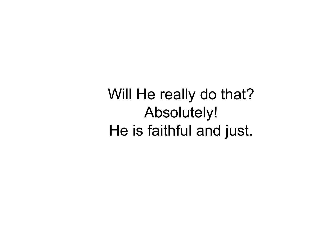Will He really do that? Absolutely! He is faithful and just.